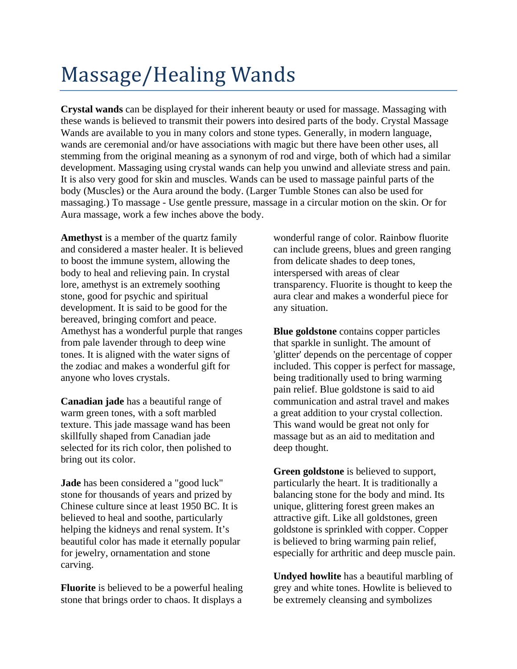## Massage/Healing Wands

**Crystal wands** can be displayed for their inherent beauty or used for massage. Massaging with these wands is believed to transmit their powers into desired parts of the body. Crystal Massage Wands are available to you in many colors and stone types. Generally, in modern language, wands are ceremonial and/or have associations with magic but there have been other uses, all stemming from the original meaning as a synonym of rod and virge, both of which had a similar development. Massaging using crystal wands can help you unwind and alleviate stress and pain. It is also very good for skin and muscles. Wands can be used to massage painful parts of the body (Muscles) or the Aura around the body. (Larger Tumble Stones can also be used for massaging.) To massage - Use gentle pressure, massage in a circular motion on the skin. Or for Aura massage, work a few inches above the body.

**Amethyst** is a member of the quartz family and considered a master healer. It is believed to boost the immune system, allowing the body to heal and relieving pain. In crystal lore, amethyst is an extremely soothing stone, good for psychic and spiritual development. It is said to be good for the bereaved, bringing comfort and peace. Amethyst has a wonderful purple that ranges from pale lavender through to deep wine tones. It is aligned with the water signs of the zodiac and makes a wonderful gift for anyone who loves crystals.

**Canadian jade** has a beautiful range of warm green tones, with a soft marbled texture. This jade massage wand has been skillfully shaped from Canadian jade selected for its rich color, then polished to bring out its color.

**Jade** has been considered a "good luck" stone for thousands of years and prized by Chinese culture since at least 1950 BC. It is believed to heal and soothe, particularly helping the kidneys and renal system. It's beautiful color has made it eternally popular for jewelry, ornamentation and stone carving.

**Fluorite** is believed to be a powerful healing stone that brings order to chaos. It displays a

wonderful range of color. Rainbow fluorite can include greens, blues and green ranging from delicate shades to deep tones, interspersed with areas of clear transparency. Fluorite is thought to keep the aura clear and makes a wonderful piece for any situation.

**Blue goldstone** contains copper particles that sparkle in sunlight. The amount of 'glitter' depends on the percentage of copper included. This copper is perfect for massage, being traditionally used to bring warming pain relief. Blue goldstone is said to aid communication and astral travel and makes a great addition to your crystal collection. This wand would be great not only for massage but as an aid to meditation and deep thought.

**Green goldstone** is believed to support, particularly the heart. It is traditionally a balancing stone for the body and mind. Its unique, glittering forest green makes an attractive gift. Like all goldstones, green goldstone is sprinkled with copper. Copper is believed to bring warming pain relief, especially for arthritic and deep muscle pain.

**Undyed howlite** has a beautiful marbling of grey and white tones. Howlite is believed to be extremely cleansing and symbolizes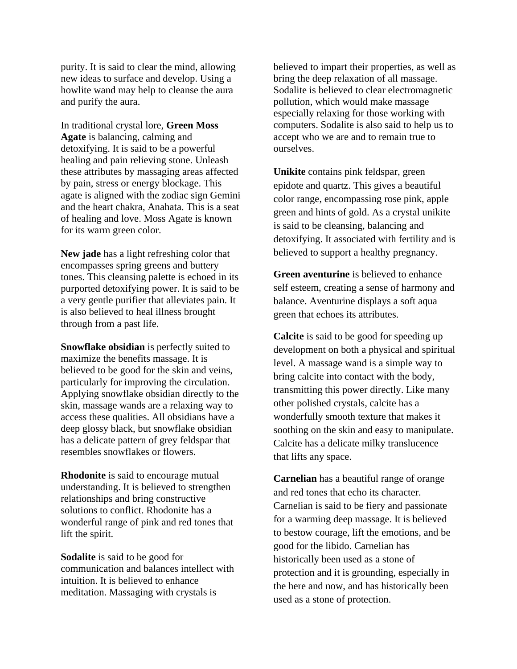purity. It is said to clear the mind, allowing new ideas to surface and develop. Using a howlite wand may help to cleanse the aura and purify the aura.

In traditional crystal lore, **Green Moss Agate** is balancing, calming and detoxifying. It is said to be a powerful healing and pain relieving stone. Unleash these attributes by massaging areas affected by pain, stress or energy blockage. This agate is aligned with the zodiac sign Gemini and the heart chakra, Anahata. This is a seat of healing and love. Moss Agate is known for its warm green color.

**New jade** has a light refreshing color that encompasses spring greens and buttery tones. This cleansing palette is echoed in its purported detoxifying power. It is said to be a very gentle purifier that alleviates pain. It is also believed to heal illness brought through from a past life.

**Snowflake obsidian** is perfectly suited to maximize the benefits massage. It is believed to be good for the skin and veins, particularly for improving the circulation. Applying snowflake obsidian directly to the skin, massage wands are a relaxing way to access these qualities. All obsidians have a deep glossy black, but snowflake obsidian has a delicate pattern of grey feldspar that resembles snowflakes or flowers.

**Rhodonite** is said to encourage mutual understanding. It is believed to strengthen relationships and bring constructive solutions to conflict. Rhodonite has a wonderful range of pink and red tones that lift the spirit.

**Sodalite** is said to be good for communication and balances intellect with intuition. It is believed to enhance meditation. Massaging with crystals is

believed to impart their properties, as well as bring the deep relaxation of all massage. Sodalite is believed to clear electromagnetic pollution, which would make massage especially relaxing for those working with computers. Sodalite is also said to help us to accept who we are and to remain true to ourselves.

**Unikite** contains pink feldspar, green epidote and quartz. This gives a beautiful color range, encompassing rose pink, apple green and hints of gold. As a crystal unikite is said to be cleansing, balancing and detoxifying. It associated with fertility and is believed to support a healthy pregnancy.

**Green aventurine** is believed to enhance self esteem, creating a sense of harmony and balance. Aventurine displays a soft aqua green that echoes its attributes.

**Calcite** is said to be good for speeding up development on both a physical and spiritual level. A massage wand is a simple way to bring calcite into contact with the body, transmitting this power directly. Like many other polished crystals, calcite has a wonderfully smooth texture that makes it soothing on the skin and easy to manipulate. Calcite has a delicate milky translucence that lifts any space.

**Carnelian** has a beautiful range of orange and red tones that echo its character. Carnelian is said to be fiery and passionate for a warming deep massage. It is believed to bestow courage, lift the emotions, and be good for the libido. Carnelian has historically been used as a stone of protection and it is grounding, especially in the here and now, and has historically been used as a stone of protection.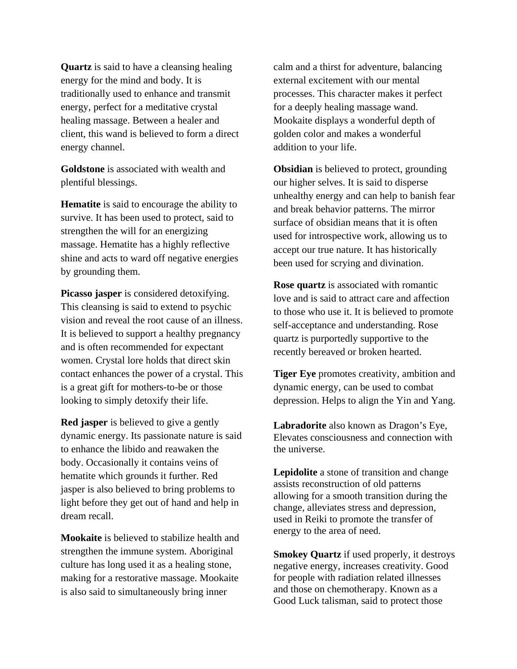**Quartz** is said to have a cleansing healing energy for the mind and body. It is traditionally used to enhance and transmit energy, perfect for a meditative crystal healing massage. Between a healer and client, this wand is believed to form a direct energy channel.

**Goldstone** is associated with wealth and plentiful blessings.

**Hematite** is said to encourage the ability to survive. It has been used to protect, said to strengthen the will for an energizing massage. Hematite has a highly reflective shine and acts to ward off negative energies by grounding them.

**Picasso jasper** is considered detoxifying. This cleansing is said to extend to psychic vision and reveal the root cause of an illness. It is believed to support a healthy pregnancy and is often recommended for expectant women. Crystal lore holds that direct skin contact enhances the power of a crystal. This is a great gift for mothers-to-be or those looking to simply detoxify their life.

**Red jasper** is believed to give a gently dynamic energy. Its passionate nature is said to enhance the libido and reawaken the body. Occasionally it contains veins of hematite which grounds it further. Red jasper is also believed to bring problems to light before they get out of hand and help in dream recall.

**Mookaite** is believed to stabilize health and strengthen the immune system. Aboriginal culture has long used it as a healing stone, making for a restorative massage. Mookaite is also said to simultaneously bring inner

calm and a thirst for adventure, balancing external excitement with our mental processes. This character makes it perfect for a deeply healing massage wand. Mookaite displays a wonderful depth of golden color and makes a wonderful addition to your life.

**Obsidian** is believed to protect, grounding our higher selves. It is said to disperse unhealthy energy and can help to banish fear and break behavior patterns. The mirror surface of obsidian means that it is often used for introspective work, allowing us to accept our true nature. It has historically been used for scrying and divination.

**Rose quartz** is associated with romantic love and is said to attract care and affection to those who use it. It is believed to promote self-acceptance and understanding. Rose quartz is purportedly supportive to the recently bereaved or broken hearted.

**Tiger Eye** promotes creativity, ambition and dynamic energy, can be used to combat depression. Helps to align the Yin and Yang.

**Labradorite** also known as Dragon's Eye, Elevates consciousness and connection with the universe.

**Lepidolite** a stone of transition and change assists reconstruction of old patterns allowing for a smooth transition during the change, alleviates stress and depression, used in Reiki to promote the transfer of energy to the area of need.

**Smokey Quartz** if used properly, it destroys negative energy, increases creativity. Good for people with radiation related illnesses and those on chemotherapy. Known as a Good Luck talisman, said to protect those